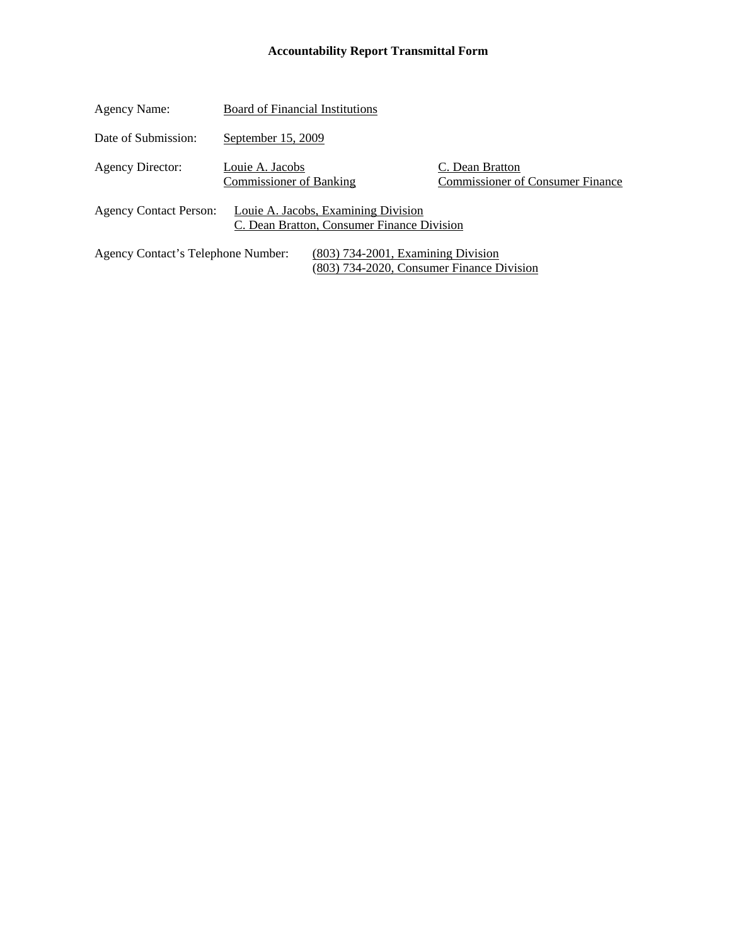### **Accountability Report Transmittal Form**

| Agency Name:                       | <b>Board of Financial Institutions</b>            |                                                                                   |                                                            |
|------------------------------------|---------------------------------------------------|-----------------------------------------------------------------------------------|------------------------------------------------------------|
| Date of Submission:                | September 15, 2009                                |                                                                                   |                                                            |
| <b>Agency Director:</b>            | Louie A. Jacobs<br><b>Commissioner of Banking</b> |                                                                                   | C. Dean Bratton<br><b>Commissioner of Consumer Finance</b> |
| <b>Agency Contact Person:</b>      |                                                   | Louie A. Jacobs, Examining Division<br>C. Dean Bratton, Consumer Finance Division |                                                            |
| Agency Contact's Telephone Number: |                                                   | $(803)$ 734-2001, Examining Division<br>(803) 734-2020, Consumer Finance Division |                                                            |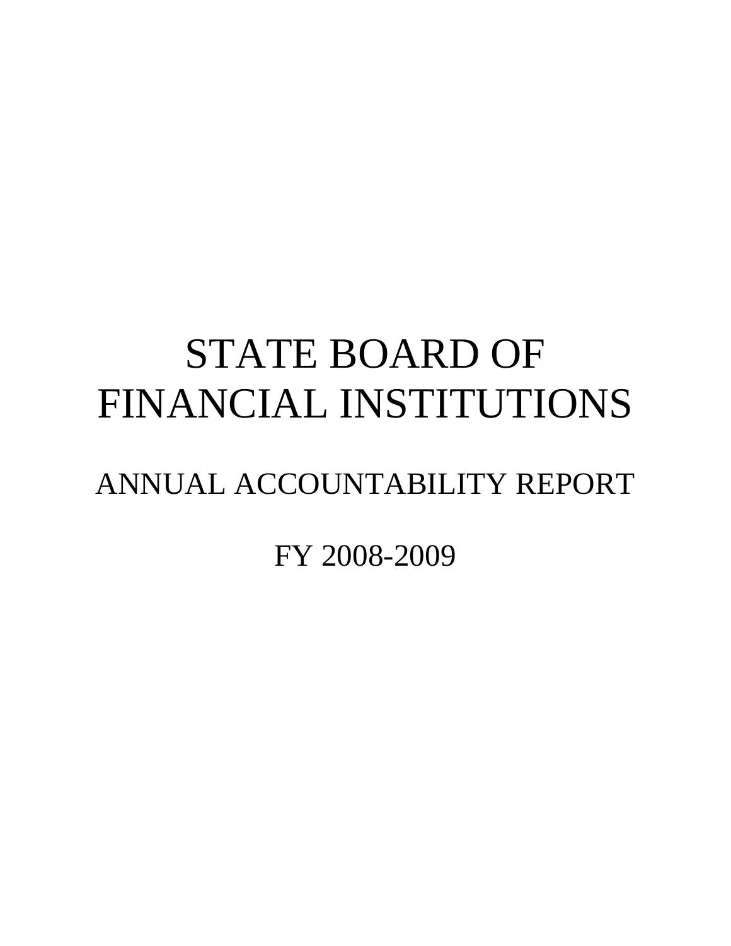# STATE BOARD OF FINANCIAL INSTITUTIONS

## ANNUAL ACCOUNTABILITY REPORT

FY 2008-2009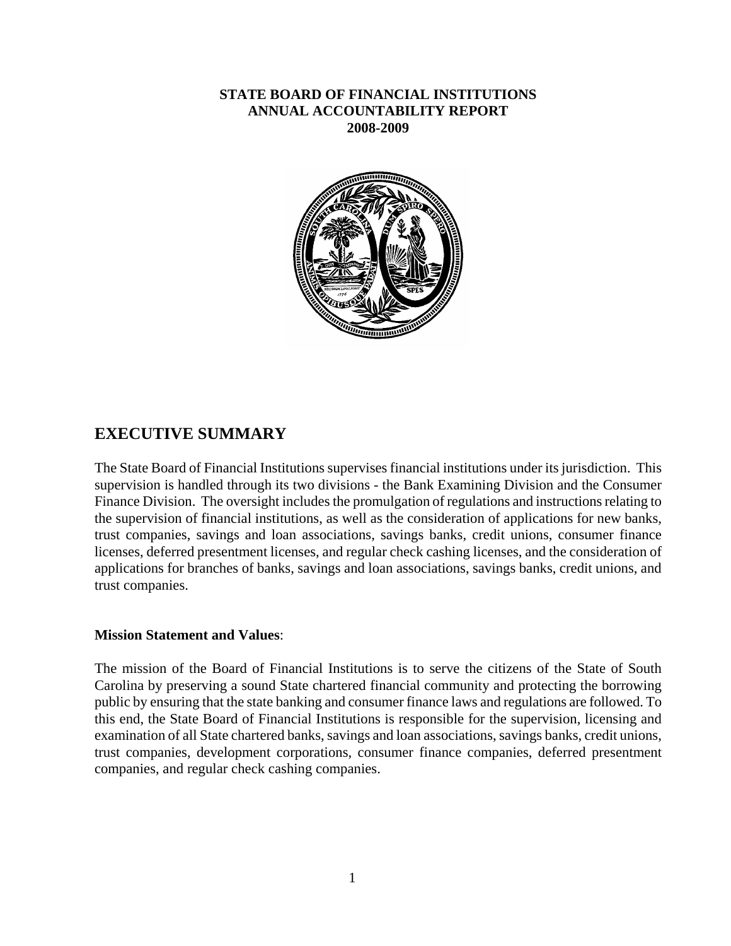### **STATE BOARD OF FINANCIAL INSTITUTIONS ANNUAL ACCOUNTABILITY REPORT 2008-2009**



### **EXECUTIVE SUMMARY**

The State Board of Financial Institutions supervises financial institutions under its jurisdiction. This supervision is handled through its two divisions - the Bank Examining Division and the Consumer Finance Division. The oversight includes the promulgation of regulations and instructions relating to the supervision of financial institutions, as well as the consideration of applications for new banks, trust companies, savings and loan associations, savings banks, credit unions, consumer finance licenses, deferred presentment licenses, and regular check cashing licenses, and the consideration of applications for branches of banks, savings and loan associations, savings banks, credit unions, and trust companies.

#### **Mission Statement and Values**:

The mission of the Board of Financial Institutions is to serve the citizens of the State of South Carolina by preserving a sound State chartered financial community and protecting the borrowing public by ensuring that the state banking and consumer finance laws and regulations are followed. To this end, the State Board of Financial Institutions is responsible for the supervision, licensing and examination of all State chartered banks, savings and loan associations, savings banks, credit unions, trust companies, development corporations, consumer finance companies, deferred presentment companies, and regular check cashing companies.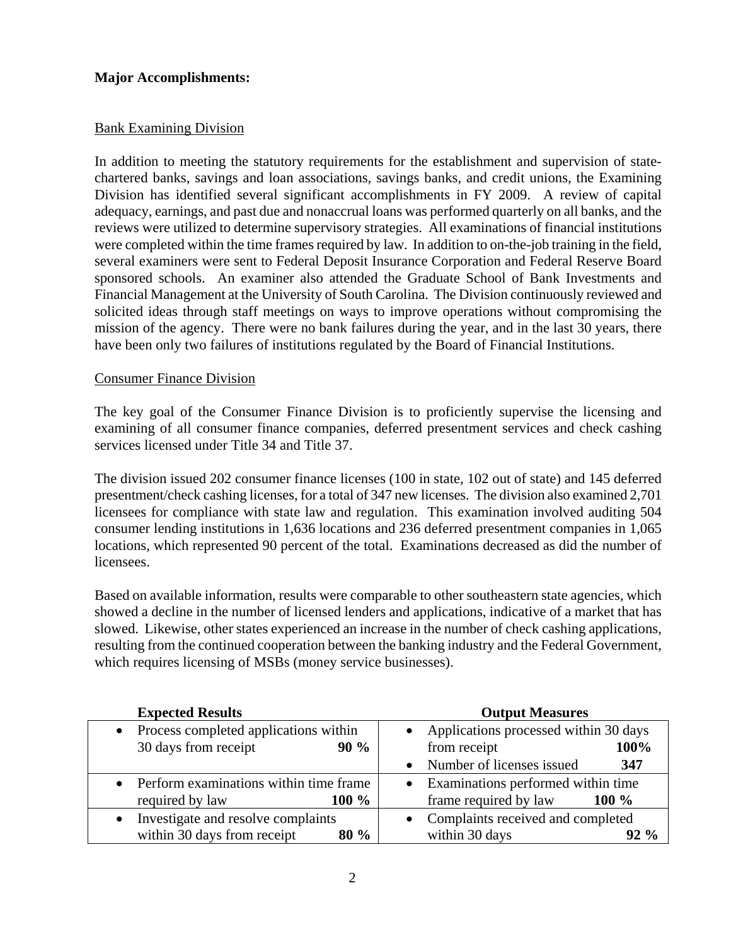### **Major Accomplishments:**

### Bank Examining Division

In addition to meeting the statutory requirements for the establishment and supervision of statechartered banks, savings and loan associations, savings banks, and credit unions, the Examining Division has identified several significant accomplishments in FY 2009. A review of capital adequacy, earnings, and past due and nonaccrual loans was performed quarterly on all banks, and the reviews were utilized to determine supervisory strategies. All examinations of financial institutions were completed within the time frames required by law. In addition to on-the-job training in the field, several examiners were sent to Federal Deposit Insurance Corporation and Federal Reserve Board sponsored schools. An examiner also attended the Graduate School of Bank Investments and Financial Management at the University of South Carolina. The Division continuously reviewed and solicited ideas through staff meetings on ways to improve operations without compromising the mission of the agency. There were no bank failures during the year, and in the last 30 years, there have been only two failures of institutions regulated by the Board of Financial Institutions.

### Consumer Finance Division

The key goal of the Consumer Finance Division is to proficiently supervise the licensing and examining of all consumer finance companies, deferred presentment services and check cashing services licensed under Title 34 and Title 37.

The division issued 202 consumer finance licenses (100 in state, 102 out of state) and 145 deferred presentment/check cashing licenses, for a total of 347 new licenses. The division also examined 2,701 licensees for compliance with state law and regulation. This examination involved auditing 504 consumer lending institutions in 1,636 locations and 236 deferred presentment companies in 1,065 locations, which represented 90 percent of the total. Examinations decreased as did the number of licensees.

Based on available information, results were comparable to other southeastern state agencies, which showed a decline in the number of licensed lenders and applications, indicative of a market that has slowed. Likewise, other states experienced an increase in the number of check cashing applications, resulting from the continued cooperation between the banking industry and the Federal Government, which requires licensing of MSBs (money service businesses).

| <b>Expected Results</b>                         | <b>Output Measures</b>                |  |  |
|-------------------------------------------------|---------------------------------------|--|--|
| Process completed applications within           | Applications processed within 30 days |  |  |
| 30 days from receipt<br>90%                     | from receipt<br>100%                  |  |  |
|                                                 | Number of licenses issued<br>347      |  |  |
| Perform examinations within time frame          | Examinations performed within time    |  |  |
| 100 %<br>required by law                        | frame required by law<br>100 %        |  |  |
| Investigate and resolve complaints<br>$\bullet$ | • Complaints received and completed   |  |  |
| within 30 days from receipt<br>80 %             | within 30 days<br>$92\%$              |  |  |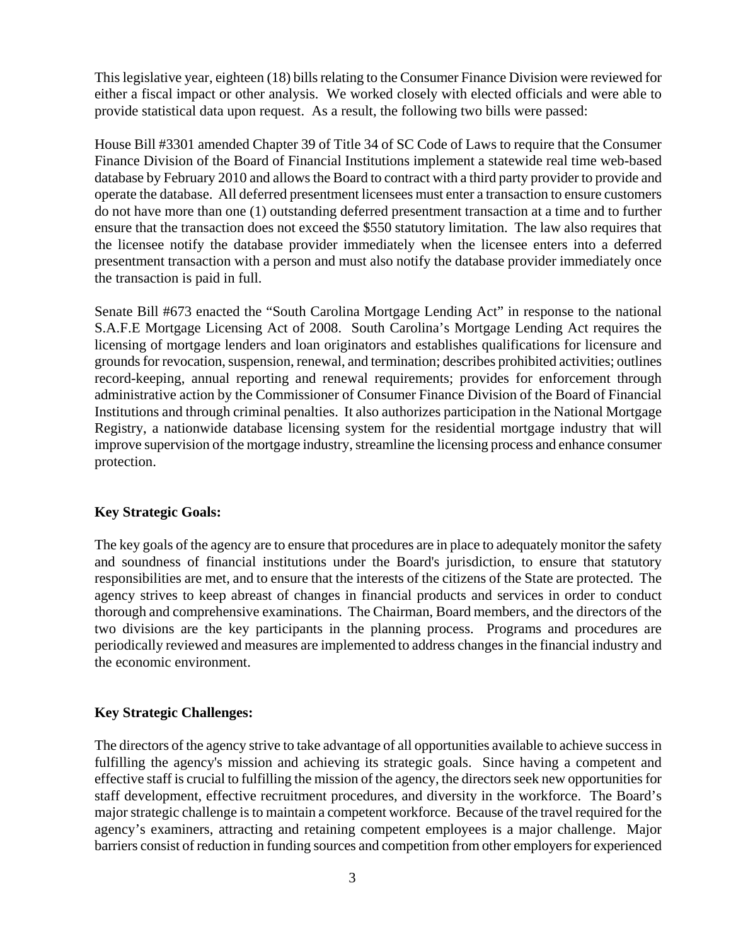This legislative year, eighteen (18) bills relating to the Consumer Finance Division were reviewed for either a fiscal impact or other analysis. We worked closely with elected officials and were able to provide statistical data upon request. As a result, the following two bills were passed:

House Bill #3301 amended Chapter 39 of Title 34 of SC Code of Laws to require that the Consumer Finance Division of the Board of Financial Institutions implement a statewide real time web-based database by February 2010 and allows the Board to contract with a third party provider to provide and operate the database. All deferred presentment licensees must enter a transaction to ensure customers do not have more than one (1) outstanding deferred presentment transaction at a time and to further ensure that the transaction does not exceed the \$550 statutory limitation. The law also requires that the licensee notify the database provider immediately when the licensee enters into a deferred presentment transaction with a person and must also notify the database provider immediately once the transaction is paid in full.

Senate Bill #673 enacted the "South Carolina Mortgage Lending Act" in response to the national S.A.F.E Mortgage Licensing Act of 2008. South Carolina's Mortgage Lending Act requires the licensing of mortgage lenders and loan originators and establishes qualifications for licensure and grounds for revocation, suspension, renewal, and termination; describes prohibited activities; outlines record-keeping, annual reporting and renewal requirements; provides for enforcement through administrative action by the Commissioner of Consumer Finance Division of the Board of Financial Institutions and through criminal penalties. It also authorizes participation in the National Mortgage Registry, a nationwide database licensing system for the residential mortgage industry that will improve supervision of the mortgage industry, streamline the licensing process and enhance consumer protection.

### **Key Strategic Goals:**

The key goals of the agency are to ensure that procedures are in place to adequately monitor the safety and soundness of financial institutions under the Board's jurisdiction, to ensure that statutory responsibilities are met, and to ensure that the interests of the citizens of the State are protected. The agency strives to keep abreast of changes in financial products and services in order to conduct thorough and comprehensive examinations. The Chairman, Board members, and the directors of the two divisions are the key participants in the planning process. Programs and procedures are periodically reviewed and measures are implemented to address changes in the financial industry and the economic environment.

### **Key Strategic Challenges:**

The directors of the agency strive to take advantage of all opportunities available to achieve success in fulfilling the agency's mission and achieving its strategic goals. Since having a competent and effective staff is crucial to fulfilling the mission of the agency, the directors seek new opportunities for staff development, effective recruitment procedures, and diversity in the workforce. The Board's major strategic challenge is to maintain a competent workforce. Because of the travel required for the agency's examiners, attracting and retaining competent employees is a major challenge. Major barriers consist of reduction in funding sources and competition from other employers for experienced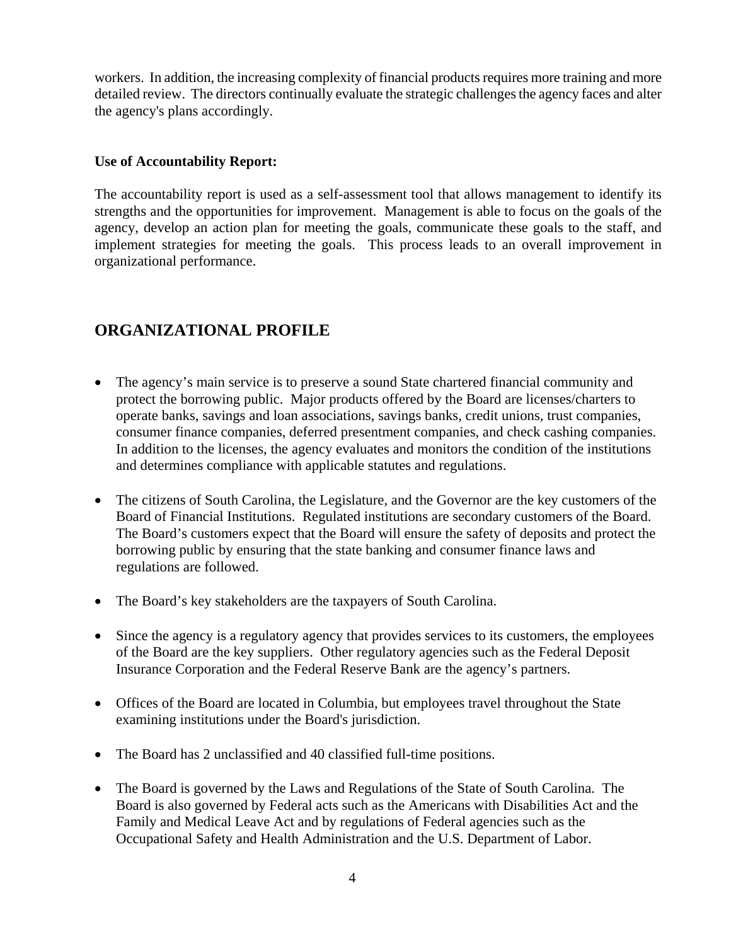workers. In addition, the increasing complexity of financial products requires more training and more detailed review. The directors continually evaluate the strategic challenges the agency faces and alter the agency's plans accordingly.

### **Use of Accountability Report:**

The accountability report is used as a self-assessment tool that allows management to identify its strengths and the opportunities for improvement. Management is able to focus on the goals of the agency, develop an action plan for meeting the goals, communicate these goals to the staff, and implement strategies for meeting the goals. This process leads to an overall improvement in organizational performance.

### **ORGANIZATIONAL PROFILE**

- The agency's main service is to preserve a sound State chartered financial community and protect the borrowing public. Major products offered by the Board are licenses/charters to operate banks, savings and loan associations, savings banks, credit unions, trust companies, consumer finance companies, deferred presentment companies, and check cashing companies. In addition to the licenses, the agency evaluates and monitors the condition of the institutions and determines compliance with applicable statutes and regulations.
- The citizens of South Carolina, the Legislature, and the Governor are the key customers of the Board of Financial Institutions. Regulated institutions are secondary customers of the Board. The Board's customers expect that the Board will ensure the safety of deposits and protect the borrowing public by ensuring that the state banking and consumer finance laws and regulations are followed.
- The Board's key stakeholders are the taxpayers of South Carolina.
- Since the agency is a regulatory agency that provides services to its customers, the employees of the Board are the key suppliers. Other regulatory agencies such as the Federal Deposit Insurance Corporation and the Federal Reserve Bank are the agency's partners.
- Offices of the Board are located in Columbia, but employees travel throughout the State examining institutions under the Board's jurisdiction.
- The Board has 2 unclassified and 40 classified full-time positions.
- The Board is governed by the Laws and Regulations of the State of South Carolina. The Board is also governed by Federal acts such as the Americans with Disabilities Act and the Family and Medical Leave Act and by regulations of Federal agencies such as the Occupational Safety and Health Administration and the U.S. Department of Labor.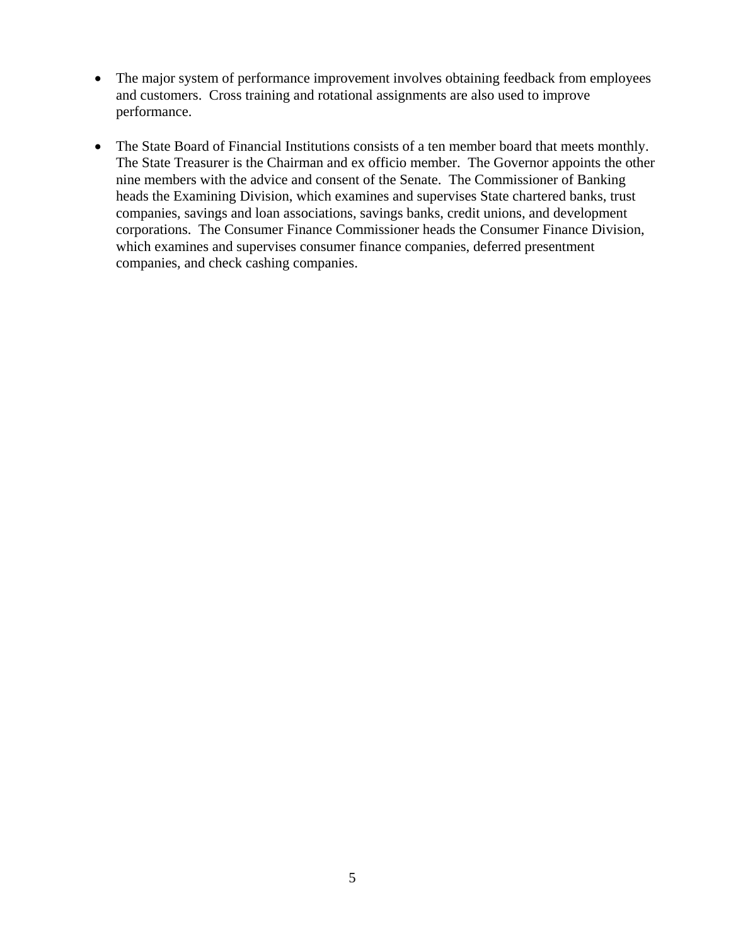- The major system of performance improvement involves obtaining feedback from employees and customers. Cross training and rotational assignments are also used to improve performance.
- The State Board of Financial Institutions consists of a ten member board that meets monthly. The State Treasurer is the Chairman and ex officio member. The Governor appoints the other nine members with the advice and consent of the Senate. The Commissioner of Banking heads the Examining Division, which examines and supervises State chartered banks, trust companies, savings and loan associations, savings banks, credit unions, and development corporations. The Consumer Finance Commissioner heads the Consumer Finance Division, which examines and supervises consumer finance companies, deferred presentment companies, and check cashing companies.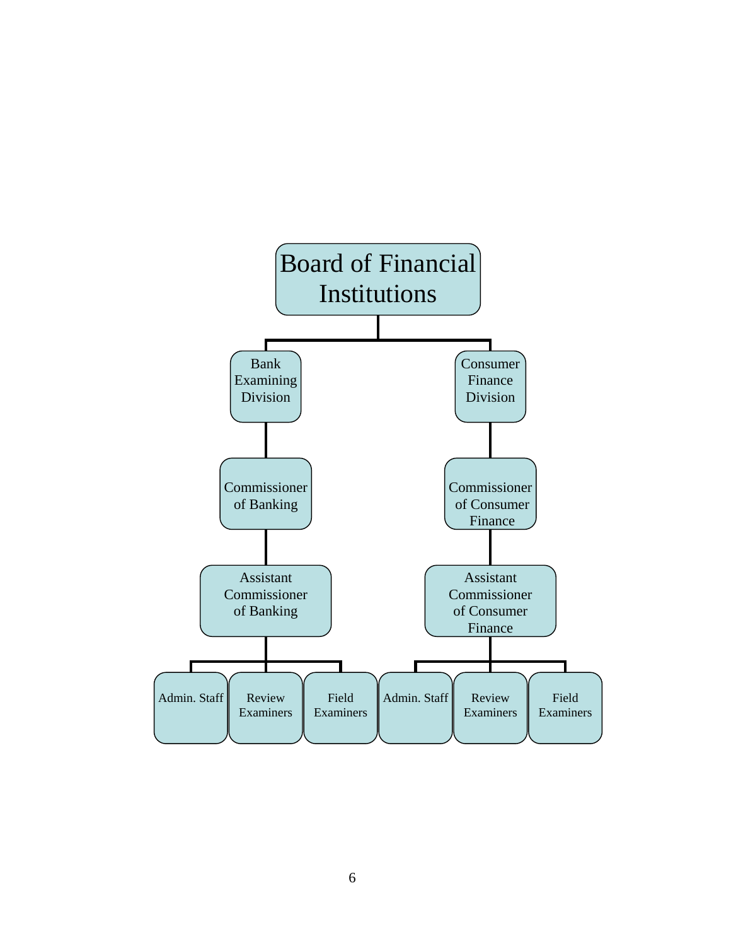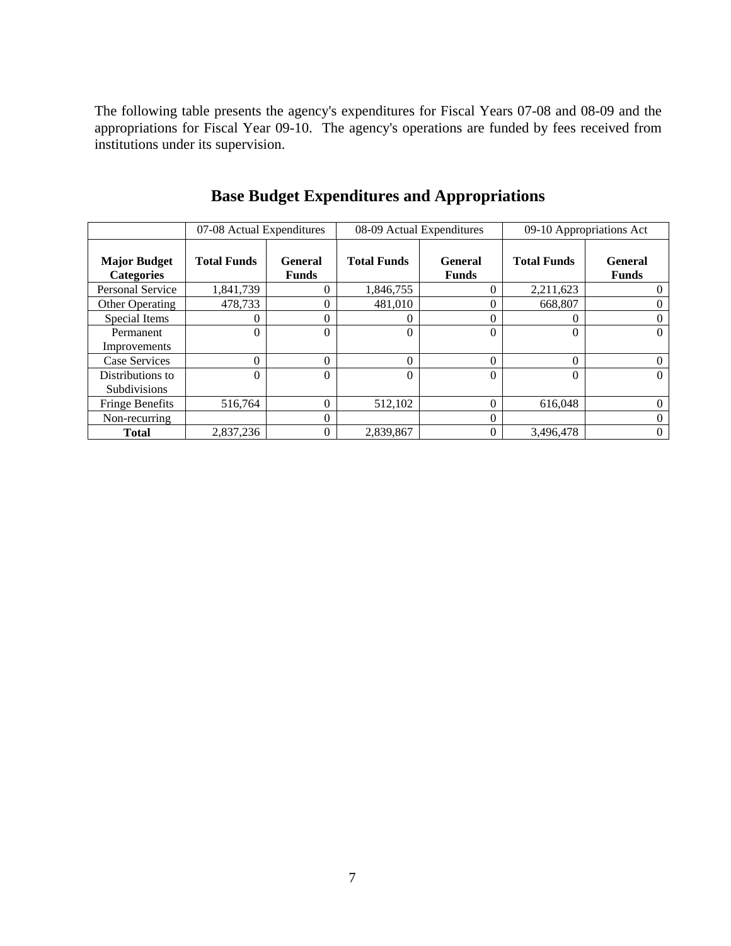The following table presents the agency's expenditures for Fiscal Years 07-08 and 08-09 and the appropriations for Fiscal Year 09-10. The agency's operations are funded by fees received from institutions under its supervision.

|                                          | 07-08 Actual Expenditures |                         | 08-09 Actual Expenditures |                                | 09-10 Appropriations Act |                                |
|------------------------------------------|---------------------------|-------------------------|---------------------------|--------------------------------|--------------------------|--------------------------------|
| <b>Major Budget</b><br><b>Categories</b> | <b>Total Funds</b>        | General<br><b>Funds</b> | <b>Total Funds</b>        | <b>General</b><br><b>Funds</b> | <b>Total Funds</b>       | <b>General</b><br><b>Funds</b> |
| <b>Personal Service</b>                  | 1,841,739                 |                         | 1,846,755                 | $\theta$                       | 2,211,623                | $\theta$                       |
| Other Operating                          | 478,733                   | $\mathbf{\Omega}$       | 481,010                   | $\theta$                       | 668,807                  | 0                              |
| Special Items                            | 0                         |                         | 0                         | $\theta$                       |                          | 0                              |
| Permanent<br>Improvements                | $\Omega$                  | $\theta$                | $\Omega$                  | $\Omega$                       |                          | $\Omega$                       |
| Case Services                            | $\Omega$                  | $\Omega$                | $\Omega$                  | $\theta$                       | $\Omega$                 | $\theta$                       |
| Distributions to<br>Subdivisions         | $\Omega$                  | $\Omega$                | $\Omega$                  | $\theta$                       |                          | $\Omega$                       |
| <b>Fringe Benefits</b>                   | 516,764                   | $\Omega$                | 512,102                   | $\theta$                       | 616,048                  | $\Omega$                       |
| Non-recurring                            |                           | 0                       |                           | $\theta$                       |                          | $\theta$                       |
| <b>Total</b>                             | 2,837,236                 |                         | 2,839,867                 | $\overline{0}$                 | 3,496,478                | $\mathbf{0}$                   |

**Base Budget Expenditures and Appropriations**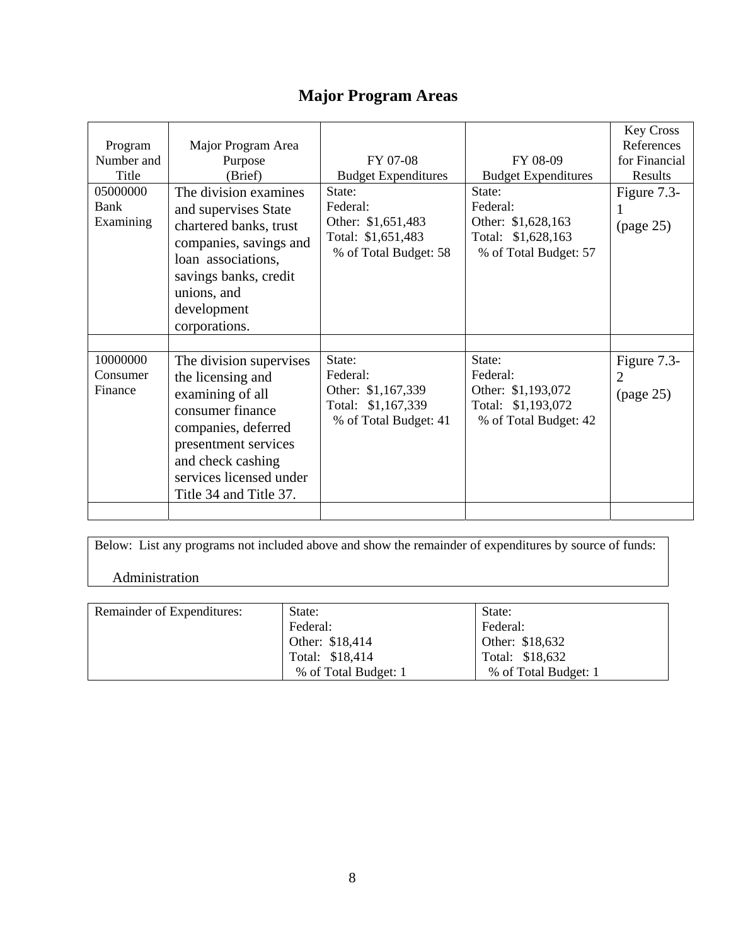### **Major Program Areas**

| Program<br>Number and<br>Title<br>05000000<br>Bank<br>Examining | Major Program Area<br>Purpose<br>(Brief)<br>The division examines<br>and supervises State<br>chartered banks, trust<br>companies, savings and<br>loan associations,<br>savings banks, credit<br>unions, and<br>development     | FY 07-08<br><b>Budget Expenditures</b><br>State:<br>Federal:<br>Other: \$1,651,483<br>Total: \$1,651,483<br>% of Total Budget: 58 | FY 08-09<br><b>Budget Expenditures</b><br>State:<br>Federal:<br>Other: \$1,628,163<br>Total: \$1,628,163<br>% of Total Budget: 57 | <b>Key Cross</b><br>References<br>for Financial<br>Results<br>Figure 7.3-<br>(page 25) |
|-----------------------------------------------------------------|--------------------------------------------------------------------------------------------------------------------------------------------------------------------------------------------------------------------------------|-----------------------------------------------------------------------------------------------------------------------------------|-----------------------------------------------------------------------------------------------------------------------------------|----------------------------------------------------------------------------------------|
| 10000000<br>Consumer<br>Finance                                 | corporations.<br>The division supervises<br>the licensing and<br>examining of all<br>consumer finance<br>companies, deferred<br>presentment services<br>and check cashing<br>services licensed under<br>Title 34 and Title 37. | State:<br>Federal:<br>Other: \$1,167,339<br>Total: \$1,167,339<br>% of Total Budget: 41                                           | State:<br>Federal:<br>Other: \$1,193,072<br>Total: \$1,193,072<br>% of Total Budget: 42                                           | Figure 7.3-<br>2<br>(page 25)                                                          |

Below: List any programs not included above and show the remainder of expenditures by source of funds:

### Administration

| Remainder of Expenditures: | State:               | State:               |
|----------------------------|----------------------|----------------------|
|                            | Federal:             | Federal:             |
|                            | Other: \$18,414      | Other: \$18,632      |
|                            | Total: \$18,414      | Total: \$18,632      |
|                            | % of Total Budget: 1 | % of Total Budget: 1 |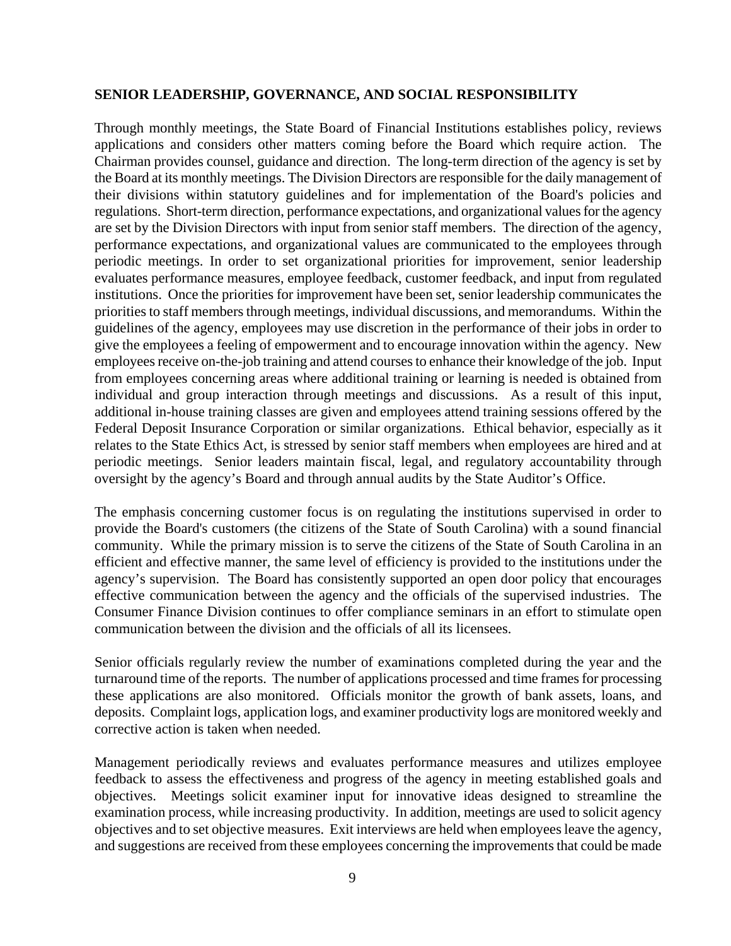### **SENIOR LEADERSHIP, GOVERNANCE, AND SOCIAL RESPONSIBILITY**

Through monthly meetings, the State Board of Financial Institutions establishes policy, reviews applications and considers other matters coming before the Board which require action. The Chairman provides counsel, guidance and direction. The long-term direction of the agency is set by the Board at its monthly meetings. The Division Directors are responsible for the daily management of their divisions within statutory guidelines and for implementation of the Board's policies and regulations. Short-term direction, performance expectations, and organizational values for the agency are set by the Division Directors with input from senior staff members. The direction of the agency, performance expectations, and organizational values are communicated to the employees through periodic meetings. In order to set organizational priorities for improvement, senior leadership evaluates performance measures, employee feedback, customer feedback, and input from regulated institutions. Once the priorities for improvement have been set, senior leadership communicates the priorities to staff members through meetings, individual discussions, and memorandums. Within the guidelines of the agency, employees may use discretion in the performance of their jobs in order to give the employees a feeling of empowerment and to encourage innovation within the agency. New employees receive on-the-job training and attend courses to enhance their knowledge of the job. Input from employees concerning areas where additional training or learning is needed is obtained from individual and group interaction through meetings and discussions. As a result of this input, additional in-house training classes are given and employees attend training sessions offered by the Federal Deposit Insurance Corporation or similar organizations. Ethical behavior, especially as it relates to the State Ethics Act, is stressed by senior staff members when employees are hired and at periodic meetings. Senior leaders maintain fiscal, legal, and regulatory accountability through oversight by the agency's Board and through annual audits by the State Auditor's Office.

The emphasis concerning customer focus is on regulating the institutions supervised in order to provide the Board's customers (the citizens of the State of South Carolina) with a sound financial community. While the primary mission is to serve the citizens of the State of South Carolina in an efficient and effective manner, the same level of efficiency is provided to the institutions under the agency's supervision. The Board has consistently supported an open door policy that encourages effective communication between the agency and the officials of the supervised industries. The Consumer Finance Division continues to offer compliance seminars in an effort to stimulate open communication between the division and the officials of all its licensees.

Senior officials regularly review the number of examinations completed during the year and the turnaround time of the reports. The number of applications processed and time frames for processing these applications are also monitored. Officials monitor the growth of bank assets, loans, and deposits. Complaint logs, application logs, and examiner productivity logs are monitored weekly and corrective action is taken when needed.

Management periodically reviews and evaluates performance measures and utilizes employee feedback to assess the effectiveness and progress of the agency in meeting established goals and objectives. Meetings solicit examiner input for innovative ideas designed to streamline the examination process, while increasing productivity. In addition, meetings are used to solicit agency objectives and to set objective measures. Exit interviews are held when employees leave the agency, and suggestions are received from these employees concerning the improvements that could be made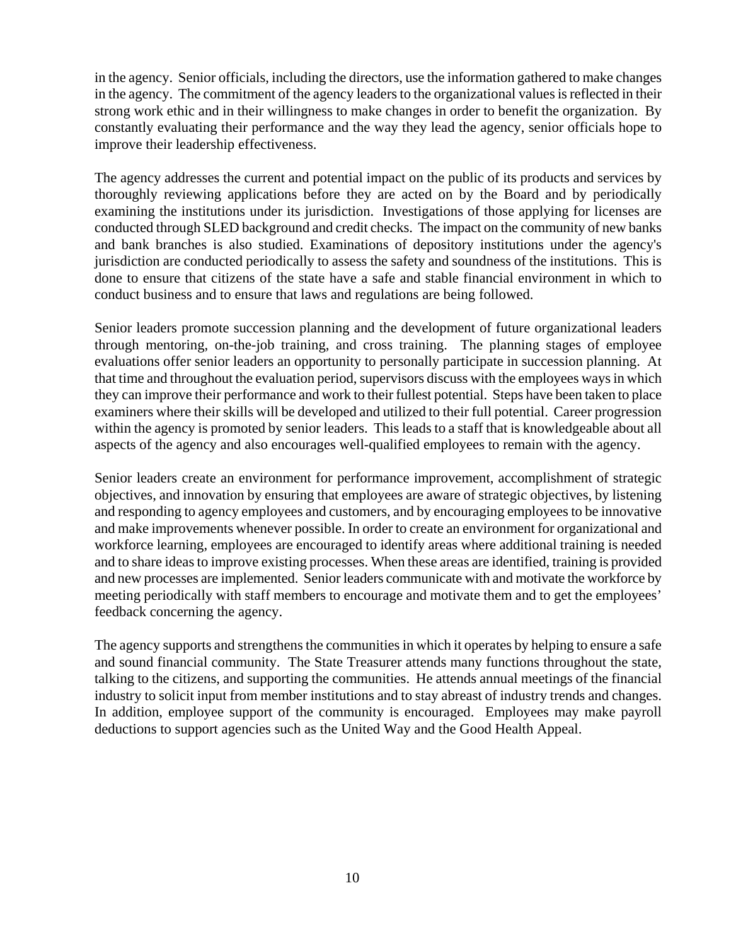in the agency. Senior officials, including the directors, use the information gathered to make changes in the agency. The commitment of the agency leaders to the organizational values is reflected in their strong work ethic and in their willingness to make changes in order to benefit the organization. By constantly evaluating their performance and the way they lead the agency, senior officials hope to improve their leadership effectiveness.

The agency addresses the current and potential impact on the public of its products and services by thoroughly reviewing applications before they are acted on by the Board and by periodically examining the institutions under its jurisdiction. Investigations of those applying for licenses are conducted through SLED background and credit checks. The impact on the community of new banks and bank branches is also studied. Examinations of depository institutions under the agency's jurisdiction are conducted periodically to assess the safety and soundness of the institutions. This is done to ensure that citizens of the state have a safe and stable financial environment in which to conduct business and to ensure that laws and regulations are being followed.

Senior leaders promote succession planning and the development of future organizational leaders through mentoring, on-the-job training, and cross training. The planning stages of employee evaluations offer senior leaders an opportunity to personally participate in succession planning. At that time and throughout the evaluation period, supervisors discuss with the employees ways in which they can improve their performance and work to their fullest potential. Steps have been taken to place examiners where their skills will be developed and utilized to their full potential. Career progression within the agency is promoted by senior leaders. This leads to a staff that is knowledgeable about all aspects of the agency and also encourages well-qualified employees to remain with the agency.

Senior leaders create an environment for performance improvement, accomplishment of strategic objectives, and innovation by ensuring that employees are aware of strategic objectives, by listening and responding to agency employees and customers, and by encouraging employees to be innovative and make improvements whenever possible. In order to create an environment for organizational and workforce learning, employees are encouraged to identify areas where additional training is needed and to share ideas to improve existing processes. When these areas are identified, training is provided and new processes are implemented. Senior leaders communicate with and motivate the workforce by meeting periodically with staff members to encourage and motivate them and to get the employees' feedback concerning the agency.

The agency supports and strengthens the communities in which it operates by helping to ensure a safe and sound financial community. The State Treasurer attends many functions throughout the state, talking to the citizens, and supporting the communities. He attends annual meetings of the financial industry to solicit input from member institutions and to stay abreast of industry trends and changes. In addition, employee support of the community is encouraged. Employees may make payroll deductions to support agencies such as the United Way and the Good Health Appeal.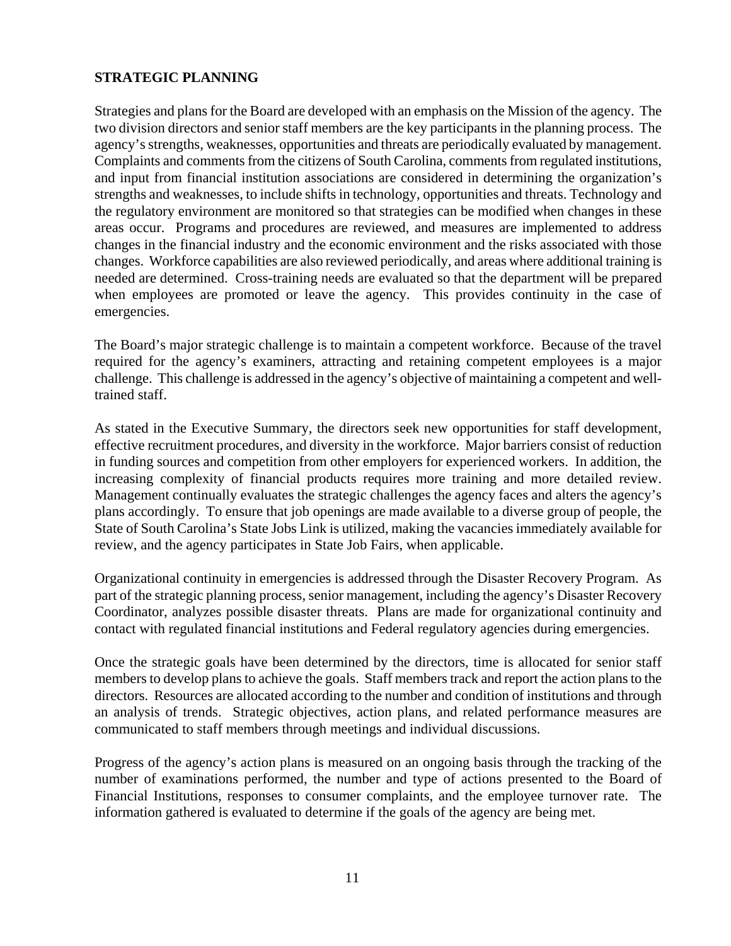### **STRATEGIC PLANNING**

Strategies and plans for the Board are developed with an emphasis on the Mission of the agency. The two division directors and senior staff members are the key participants in the planning process. The agency's strengths, weaknesses, opportunities and threats are periodically evaluated by management. Complaints and comments from the citizens of South Carolina, comments from regulated institutions, and input from financial institution associations are considered in determining the organization's strengths and weaknesses, to include shifts in technology, opportunities and threats. Technology and the regulatory environment are monitored so that strategies can be modified when changes in these areas occur. Programs and procedures are reviewed, and measures are implemented to address changes in the financial industry and the economic environment and the risks associated with those changes. Workforce capabilities are also reviewed periodically, and areas where additional training is needed are determined. Cross-training needs are evaluated so that the department will be prepared when employees are promoted or leave the agency. This provides continuity in the case of emergencies.

The Board's major strategic challenge is to maintain a competent workforce. Because of the travel required for the agency's examiners, attracting and retaining competent employees is a major challenge. This challenge is addressed in the agency's objective of maintaining a competent and welltrained staff.

As stated in the Executive Summary, the directors seek new opportunities for staff development, effective recruitment procedures, and diversity in the workforce. Major barriers consist of reduction in funding sources and competition from other employers for experienced workers. In addition, the increasing complexity of financial products requires more training and more detailed review. Management continually evaluates the strategic challenges the agency faces and alters the agency's plans accordingly. To ensure that job openings are made available to a diverse group of people, the State of South Carolina's State Jobs Link is utilized, making the vacancies immediately available for review, and the agency participates in State Job Fairs, when applicable.

Organizational continuity in emergencies is addressed through the Disaster Recovery Program. As part of the strategic planning process, senior management, including the agency's Disaster Recovery Coordinator, analyzes possible disaster threats. Plans are made for organizational continuity and contact with regulated financial institutions and Federal regulatory agencies during emergencies.

Once the strategic goals have been determined by the directors, time is allocated for senior staff members to develop plans to achieve the goals. Staff members track and report the action plans to the directors. Resources are allocated according to the number and condition of institutions and through an analysis of trends. Strategic objectives, action plans, and related performance measures are communicated to staff members through meetings and individual discussions.

Progress of the agency's action plans is measured on an ongoing basis through the tracking of the number of examinations performed, the number and type of actions presented to the Board of Financial Institutions, responses to consumer complaints, and the employee turnover rate. The information gathered is evaluated to determine if the goals of the agency are being met.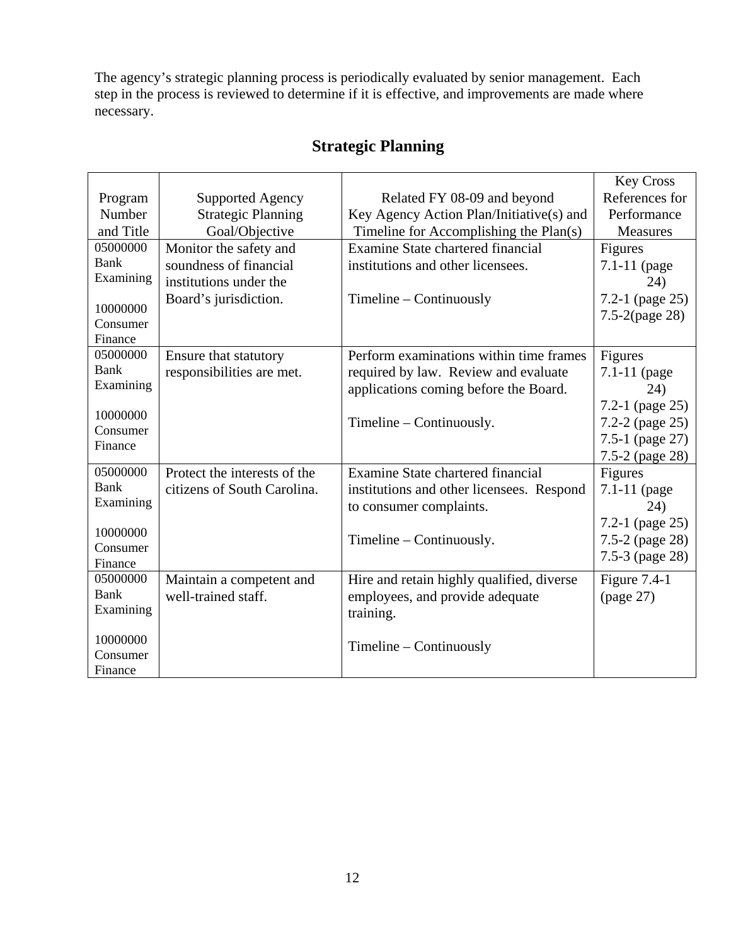The agency's strategic planning process is periodically evaluated by senior management. Each step in the process is reviewed to determine if it is effective, and improvements are made where necessary.

|                      |                              |                                           | <b>Key Cross</b>    |
|----------------------|------------------------------|-------------------------------------------|---------------------|
| Program              | Supported Agency             | Related FY 08-09 and beyond               | References for      |
| Number               | <b>Strategic Planning</b>    | Key Agency Action Plan/Initiative(s) and  | Performance         |
| and Title            | Goal/Objective               | Timeline for Accomplishing the Plan(s)    | Measures            |
| 05000000             | Monitor the safety and       | Examine State chartered financial         | Figures             |
| Bank                 | soundness of financial       | institutions and other licensees.         | 7.1-11 (page        |
| Examining            | institutions under the       |                                           | 24)                 |
|                      | Board's jurisdiction.        | $Timeline - Continuously$                 | 7.2-1 (page $25$ )  |
| 10000000<br>Consumer |                              |                                           | $7.5 - 2$ (page 28) |
| Finance              |                              |                                           |                     |
| 05000000             | Ensure that statutory        | Perform examinations within time frames   | Figures             |
| <b>Bank</b>          | responsibilities are met.    | required by law. Review and evaluate      | $7.1 - 11$ (page    |
| Examining            |                              | applications coming before the Board.     | 24)                 |
|                      |                              |                                           | 7.2-1 (page $25$ )  |
| 10000000             |                              | Timeline – Continuously.                  | 7.2-2 (page 25)     |
| Consumer             |                              |                                           | 7.5-1 (page 27)     |
| Finance              |                              |                                           | 7.5-2 (page 28)     |
| 05000000             | Protect the interests of the | Examine State chartered financial         | Figures             |
| <b>Bank</b>          | citizens of South Carolina.  | institutions and other licensees. Respond | 7.1-11 (page        |
| Examining            |                              | to consumer complaints.                   | 24)                 |
|                      |                              |                                           | 7.2-1 (page $25$ )  |
| 10000000             |                              | Timeline $-$ Continuously.                | 7.5-2 (page 28)     |
| Consumer             |                              |                                           | 7.5-3 (page 28)     |
| Finance<br>05000000  |                              |                                           |                     |
| <b>Bank</b>          | Maintain a competent and     | Hire and retain highly qualified, diverse | Figure $7.4-1$      |
| Examining            | well-trained staff.          | employees, and provide adequate           | (page 27)           |
|                      |                              | training.                                 |                     |
| 10000000             |                              |                                           |                     |
| Consumer             |                              | $T$ imeline – Continuously                |                     |
| Finance              |                              |                                           |                     |

### **Strategic Planning**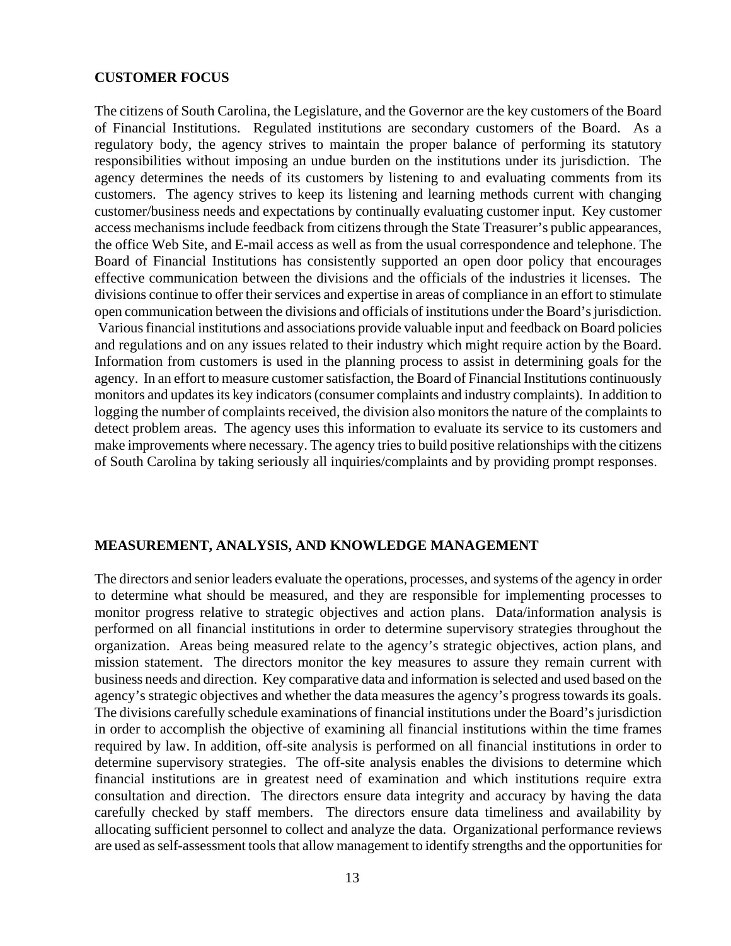#### **CUSTOMER FOCUS**

The citizens of South Carolina, the Legislature, and the Governor are the key customers of the Board of Financial Institutions. Regulated institutions are secondary customers of the Board. As a regulatory body, the agency strives to maintain the proper balance of performing its statutory responsibilities without imposing an undue burden on the institutions under its jurisdiction. The agency determines the needs of its customers by listening to and evaluating comments from its customers. The agency strives to keep its listening and learning methods current with changing customer/business needs and expectations by continually evaluating customer input. Key customer access mechanisms include feedback from citizens through the State Treasurer's public appearances, the office Web Site, and E-mail access as well as from the usual correspondence and telephone. The Board of Financial Institutions has consistently supported an open door policy that encourages effective communication between the divisions and the officials of the industries it licenses. The divisions continue to offer their services and expertise in areas of compliance in an effort to stimulate open communication between the divisions and officials of institutions under the Board's jurisdiction. Various financial institutions and associations provide valuable input and feedback on Board policies and regulations and on any issues related to their industry which might require action by the Board. Information from customers is used in the planning process to assist in determining goals for the agency. In an effort to measure customer satisfaction, the Board of Financial Institutions continuously monitors and updates its key indicators (consumer complaints and industry complaints). In addition to logging the number of complaints received, the division also monitors the nature of the complaints to detect problem areas. The agency uses this information to evaluate its service to its customers and make improvements where necessary. The agency tries to build positive relationships with the citizens of South Carolina by taking seriously all inquiries/complaints and by providing prompt responses.

#### **MEASUREMENT, ANALYSIS, AND KNOWLEDGE MANAGEMENT**

The directors and senior leaders evaluate the operations, processes, and systems of the agency in order to determine what should be measured, and they are responsible for implementing processes to monitor progress relative to strategic objectives and action plans. Data/information analysis is performed on all financial institutions in order to determine supervisory strategies throughout the organization. Areas being measured relate to the agency's strategic objectives, action plans, and mission statement. The directors monitor the key measures to assure they remain current with business needs and direction. Key comparative data and information is selected and used based on the agency's strategic objectives and whether the data measures the agency's progress towards its goals. The divisions carefully schedule examinations of financial institutions under the Board's jurisdiction in order to accomplish the objective of examining all financial institutions within the time frames required by law. In addition, off-site analysis is performed on all financial institutions in order to determine supervisory strategies. The off-site analysis enables the divisions to determine which financial institutions are in greatest need of examination and which institutions require extra consultation and direction. The directors ensure data integrity and accuracy by having the data carefully checked by staff members. The directors ensure data timeliness and availability by allocating sufficient personnel to collect and analyze the data. Organizational performance reviews are used as self-assessment tools that allow management to identify strengths and the opportunities for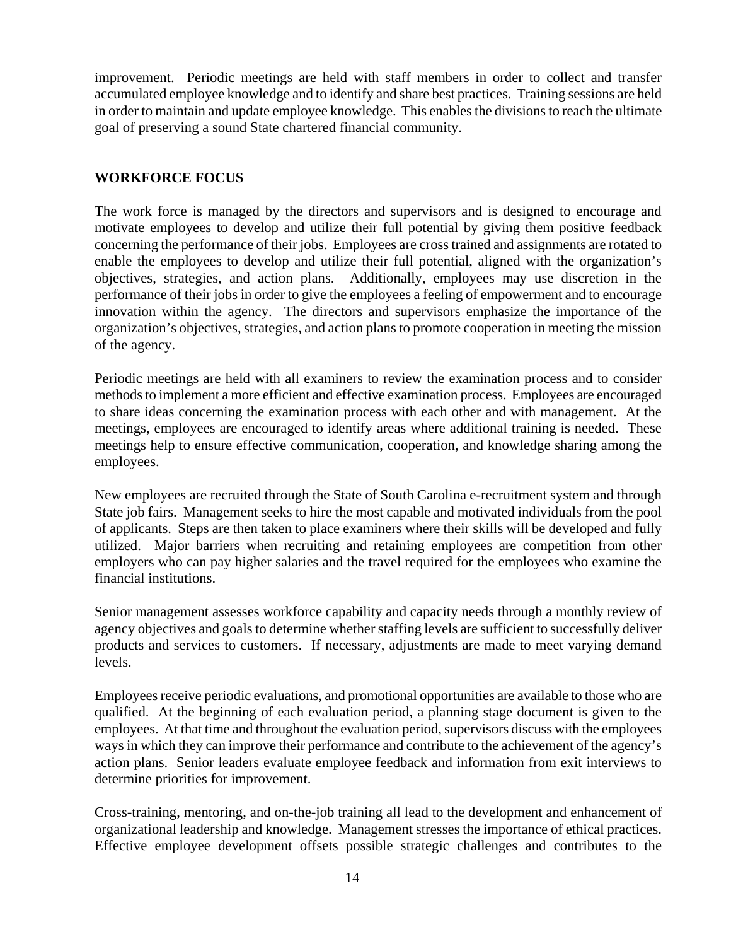improvement. Periodic meetings are held with staff members in order to collect and transfer accumulated employee knowledge and to identify and share best practices. Training sessions are held in order to maintain and update employee knowledge. This enables the divisions to reach the ultimate goal of preserving a sound State chartered financial community.

### **WORKFORCE FOCUS**

The work force is managed by the directors and supervisors and is designed to encourage and motivate employees to develop and utilize their full potential by giving them positive feedback concerning the performance of their jobs. Employees are cross trained and assignments are rotated to enable the employees to develop and utilize their full potential, aligned with the organization's objectives, strategies, and action plans. Additionally, employees may use discretion in the performance of their jobs in order to give the employees a feeling of empowerment and to encourage innovation within the agency. The directors and supervisors emphasize the importance of the organization's objectives, strategies, and action plans to promote cooperation in meeting the mission of the agency.

Periodic meetings are held with all examiners to review the examination process and to consider methods to implement a more efficient and effective examination process. Employees are encouraged to share ideas concerning the examination process with each other and with management. At the meetings, employees are encouraged to identify areas where additional training is needed. These meetings help to ensure effective communication, cooperation, and knowledge sharing among the employees.

New employees are recruited through the State of South Carolina e-recruitment system and through State job fairs. Management seeks to hire the most capable and motivated individuals from the pool of applicants. Steps are then taken to place examiners where their skills will be developed and fully utilized. Major barriers when recruiting and retaining employees are competition from other employers who can pay higher salaries and the travel required for the employees who examine the financial institutions.

Senior management assesses workforce capability and capacity needs through a monthly review of agency objectives and goals to determine whether staffing levels are sufficient to successfully deliver products and services to customers. If necessary, adjustments are made to meet varying demand levels.

Employees receive periodic evaluations, and promotional opportunities are available to those who are qualified. At the beginning of each evaluation period, a planning stage document is given to the employees. At that time and throughout the evaluation period, supervisors discuss with the employees ways in which they can improve their performance and contribute to the achievement of the agency's action plans. Senior leaders evaluate employee feedback and information from exit interviews to determine priorities for improvement.

Cross-training, mentoring, and on-the-job training all lead to the development and enhancement of organizational leadership and knowledge. Management stresses the importance of ethical practices. Effective employee development offsets possible strategic challenges and contributes to the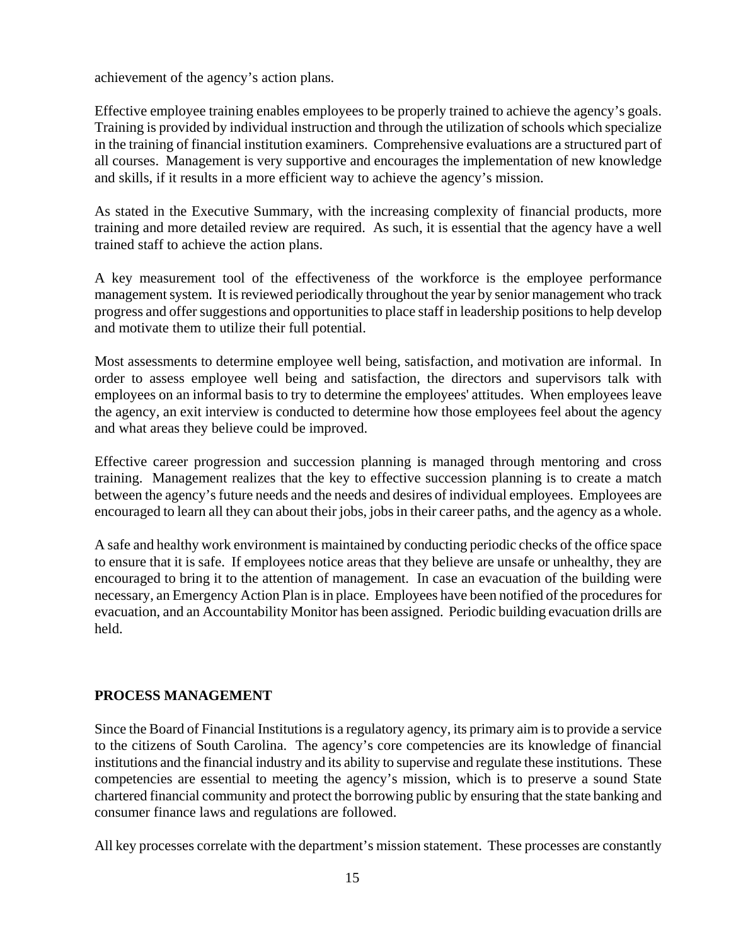achievement of the agency's action plans.

Effective employee training enables employees to be properly trained to achieve the agency's goals. Training is provided by individual instruction and through the utilization of schools which specialize in the training of financial institution examiners. Comprehensive evaluations are a structured part of all courses. Management is very supportive and encourages the implementation of new knowledge and skills, if it results in a more efficient way to achieve the agency's mission.

As stated in the Executive Summary, with the increasing complexity of financial products, more training and more detailed review are required. As such, it is essential that the agency have a well trained staff to achieve the action plans.

A key measurement tool of the effectiveness of the workforce is the employee performance management system. It is reviewed periodically throughout the year by senior management who track progress and offer suggestions and opportunities to place staff in leadership positions to help develop and motivate them to utilize their full potential.

Most assessments to determine employee well being, satisfaction, and motivation are informal. In order to assess employee well being and satisfaction, the directors and supervisors talk with employees on an informal basis to try to determine the employees' attitudes. When employees leave the agency, an exit interview is conducted to determine how those employees feel about the agency and what areas they believe could be improved.

Effective career progression and succession planning is managed through mentoring and cross training. Management realizes that the key to effective succession planning is to create a match between the agency's future needs and the needs and desires of individual employees. Employees are encouraged to learn all they can about their jobs, jobs in their career paths, and the agency as a whole.

A safe and healthy work environment is maintained by conducting periodic checks of the office space to ensure that it is safe. If employees notice areas that they believe are unsafe or unhealthy, they are encouraged to bring it to the attention of management. In case an evacuation of the building were necessary, an Emergency Action Plan is in place. Employees have been notified of the procedures for evacuation, and an Accountability Monitor has been assigned. Periodic building evacuation drills are held.

### **PROCESS MANAGEMENT**

Since the Board of Financial Institutions is a regulatory agency, its primary aim is to provide a service to the citizens of South Carolina. The agency's core competencies are its knowledge of financial institutions and the financial industry and its ability to supervise and regulate these institutions. These competencies are essential to meeting the agency's mission, which is to preserve a sound State chartered financial community and protect the borrowing public by ensuring that the state banking and consumer finance laws and regulations are followed.

All key processes correlate with the department's mission statement. These processes are constantly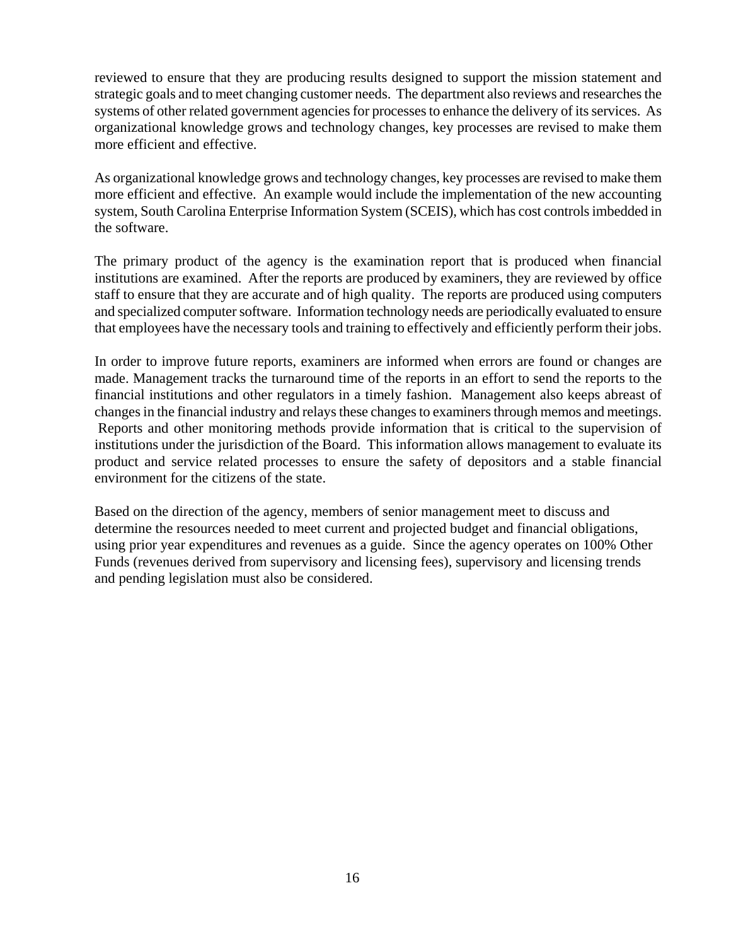reviewed to ensure that they are producing results designed to support the mission statement and strategic goals and to meet changing customer needs. The department also reviews and researches the systems of other related government agencies for processes to enhance the delivery of its services. As organizational knowledge grows and technology changes, key processes are revised to make them more efficient and effective.

As organizational knowledge grows and technology changes, key processes are revised to make them more efficient and effective. An example would include the implementation of the new accounting system, South Carolina Enterprise Information System (SCEIS), which has cost controls imbedded in the software.

The primary product of the agency is the examination report that is produced when financial institutions are examined. After the reports are produced by examiners, they are reviewed by office staff to ensure that they are accurate and of high quality. The reports are produced using computers and specialized computer software. Information technology needs are periodically evaluated to ensure that employees have the necessary tools and training to effectively and efficiently perform their jobs.

In order to improve future reports, examiners are informed when errors are found or changes are made. Management tracks the turnaround time of the reports in an effort to send the reports to the financial institutions and other regulators in a timely fashion. Management also keeps abreast of changes in the financial industry and relays these changes to examiners through memos and meetings. Reports and other monitoring methods provide information that is critical to the supervision of institutions under the jurisdiction of the Board. This information allows management to evaluate its product and service related processes to ensure the safety of depositors and a stable financial environment for the citizens of the state.

Based on the direction of the agency, members of senior management meet to discuss and determine the resources needed to meet current and projected budget and financial obligations, using prior year expenditures and revenues as a guide. Since the agency operates on 100% Other Funds (revenues derived from supervisory and licensing fees), supervisory and licensing trends and pending legislation must also be considered.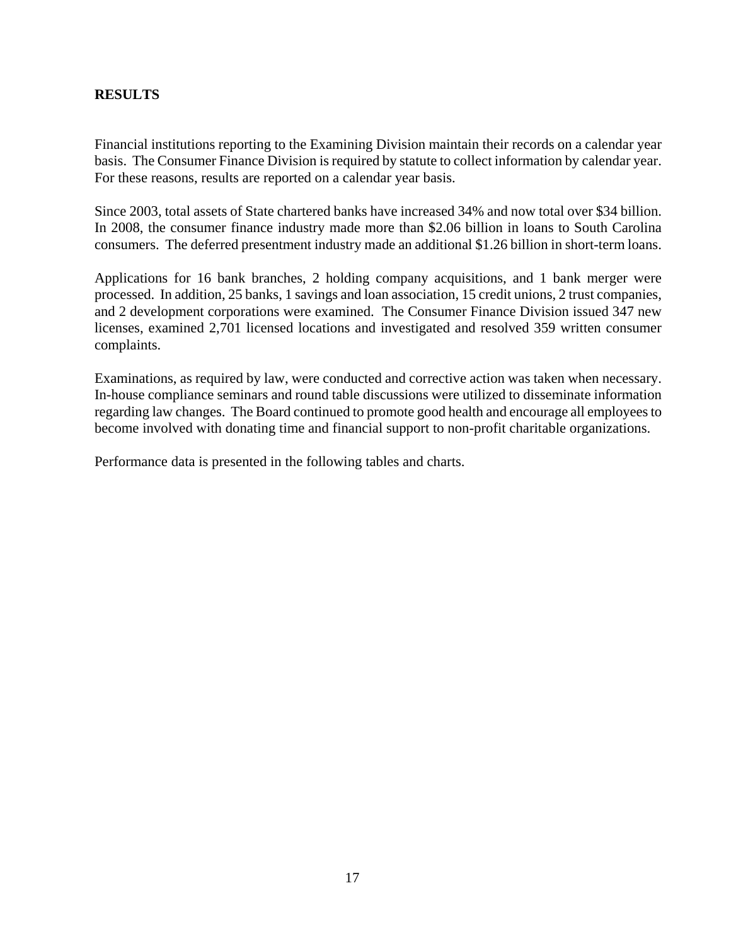### **RESULTS**

Financial institutions reporting to the Examining Division maintain their records on a calendar year basis. The Consumer Finance Division is required by statute to collect information by calendar year. For these reasons, results are reported on a calendar year basis.

Since 2003, total assets of State chartered banks have increased 34% and now total over \$34 billion. In 2008, the consumer finance industry made more than \$2.06 billion in loans to South Carolina consumers. The deferred presentment industry made an additional \$1.26 billion in short-term loans.

Applications for 16 bank branches, 2 holding company acquisitions, and 1 bank merger were processed. In addition, 25 banks, 1 savings and loan association, 15 credit unions, 2 trust companies, and 2 development corporations were examined. The Consumer Finance Division issued 347 new licenses, examined 2,701 licensed locations and investigated and resolved 359 written consumer complaints.

Examinations, as required by law, were conducted and corrective action was taken when necessary. In-house compliance seminars and round table discussions were utilized to disseminate information regarding law changes. The Board continued to promote good health and encourage all employees to become involved with donating time and financial support to non-profit charitable organizations.

Performance data is presented in the following tables and charts.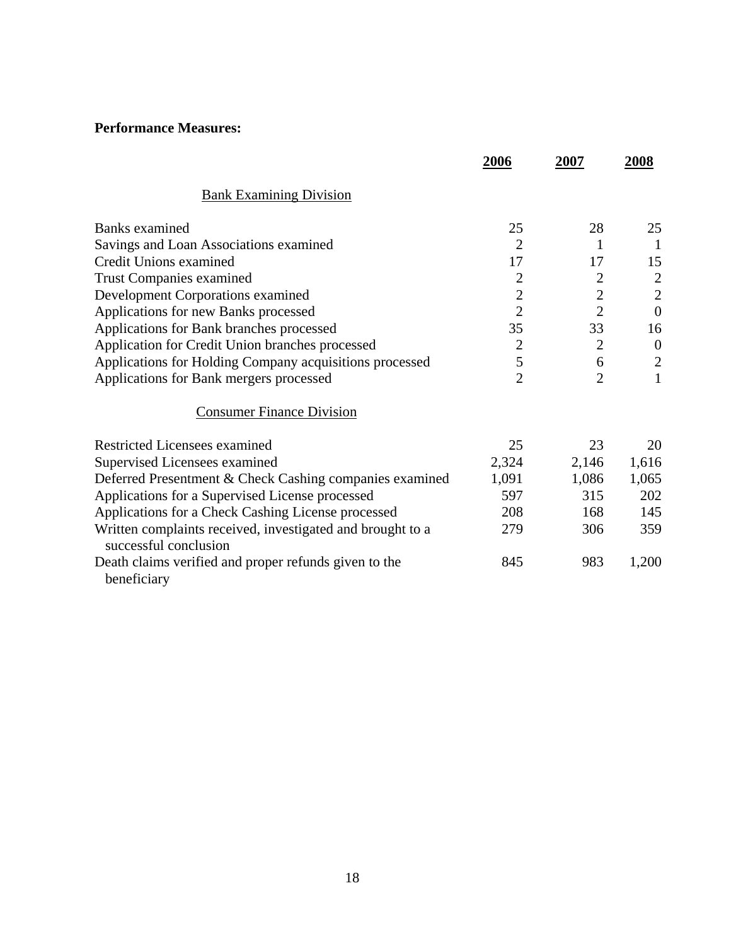### **Performance Measures:**

|                                                                                     | 2006           | 2007           | 2008             |
|-------------------------------------------------------------------------------------|----------------|----------------|------------------|
| <b>Bank Examining Division</b>                                                      |                |                |                  |
| Banks examined                                                                      | 25             | 28             | 25               |
| Savings and Loan Associations examined                                              | $\overline{2}$ | 1              | 1                |
| Credit Unions examined                                                              | 17             | 17             | 15               |
| <b>Trust Companies examined</b>                                                     | $\overline{2}$ | $\overline{2}$ | $\overline{2}$   |
| Development Corporations examined                                                   | $\sqrt{2}$     | $\overline{c}$ | $\mathbf{2}$     |
| Applications for new Banks processed                                                | $\overline{2}$ | $\overline{2}$ | $\overline{0}$   |
| Applications for Bank branches processed                                            | 35             | 33             | 16               |
| Application for Credit Union branches processed                                     | $\overline{2}$ | $\overline{2}$ | $\boldsymbol{0}$ |
| Applications for Holding Company acquisitions processed                             | 5              | 6              | $\mathbf{2}$     |
| Applications for Bank mergers processed                                             | 2              | $\overline{2}$ | $\mathbf{1}$     |
| <b>Consumer Finance Division</b>                                                    |                |                |                  |
| Restricted Licensees examined                                                       | 25             | 23             | 20               |
| Supervised Licensees examined                                                       | 2,324          | 2,146          | 1,616            |
| Deferred Presentment & Check Cashing companies examined                             | 1,091          | 1,086          | 1,065            |
| Applications for a Supervised License processed                                     | 597            | 315            | 202              |
| Applications for a Check Cashing License processed                                  | 208            | 168            | 145              |
| Written complaints received, investigated and brought to a<br>successful conclusion | 279            | 306            | 359              |
| Death claims verified and proper refunds given to the<br>beneficiary                | 845            | 983            | 1,200            |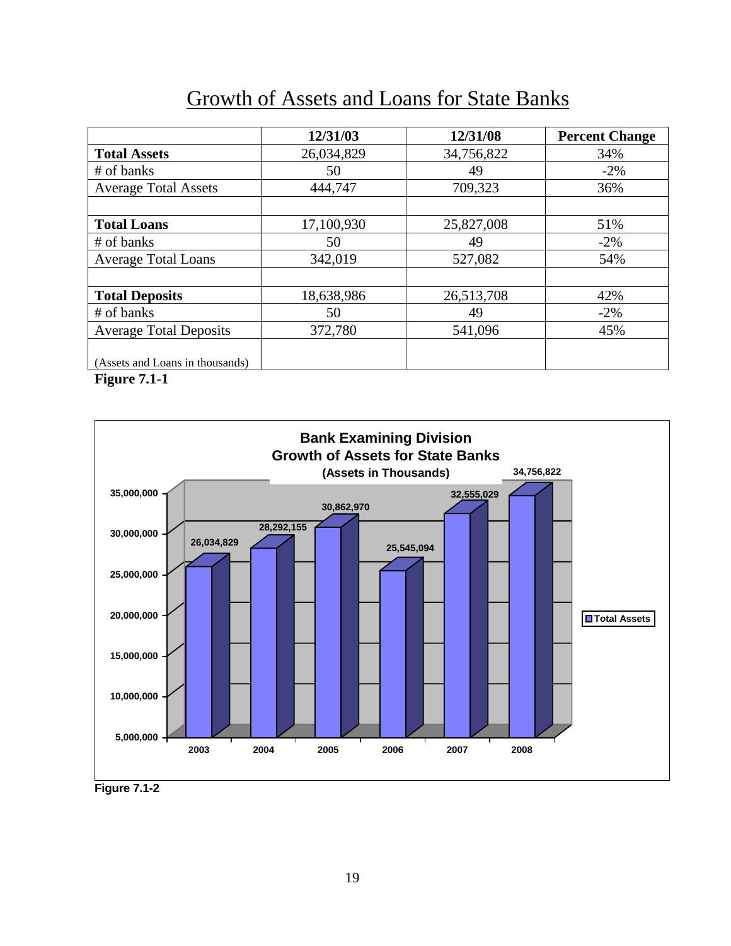|                                 | 12/31/03   | 12/31/08   | <b>Percent Change</b> |
|---------------------------------|------------|------------|-----------------------|
| <b>Total Assets</b>             | 26,034,829 | 34,756,822 | 34%                   |
| # of banks                      | 50         | 49         | $-2\%$                |
| <b>Average Total Assets</b>     | 444,747    | 709,323    | 36%                   |
|                                 |            |            |                       |
| <b>Total Loans</b>              | 17,100,930 | 25,827,008 | 51%                   |
| # of banks                      | 50         | 49         | $-2\%$                |
| <b>Average Total Loans</b>      | 342,019    | 527,082    | 54%                   |
|                                 |            |            |                       |
| <b>Total Deposits</b>           | 18,638,986 | 26,513,708 | 42%                   |
| # of banks                      | 50         | 49         | $-2\%$                |
| <b>Average Total Deposits</b>   | 372,780    | 541,096    | 45%                   |
|                                 |            |            |                       |
| (Assets and Loans in thousands) |            |            |                       |

**Figure 7.1-1** 



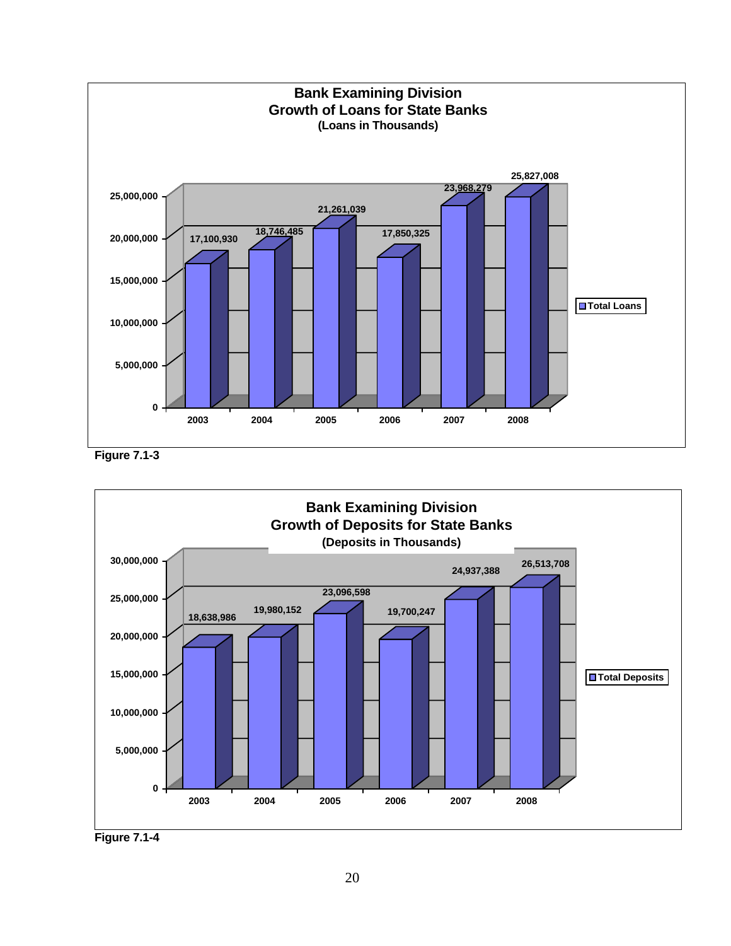





**Figure 7.1-4**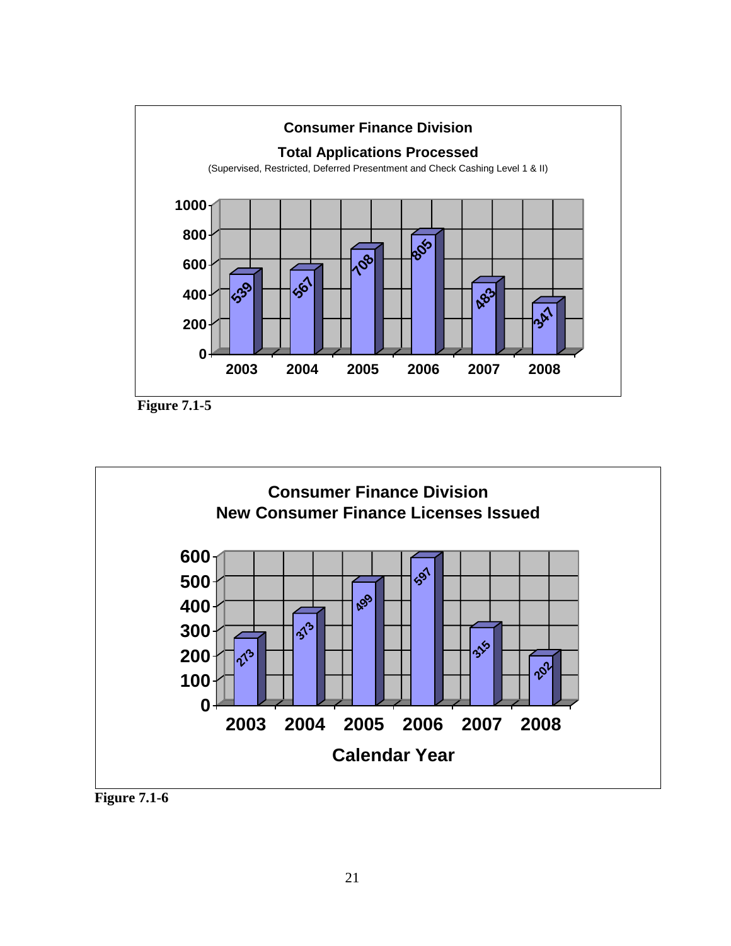

**Figure 7.1-5** 



**Figure 7.1-6**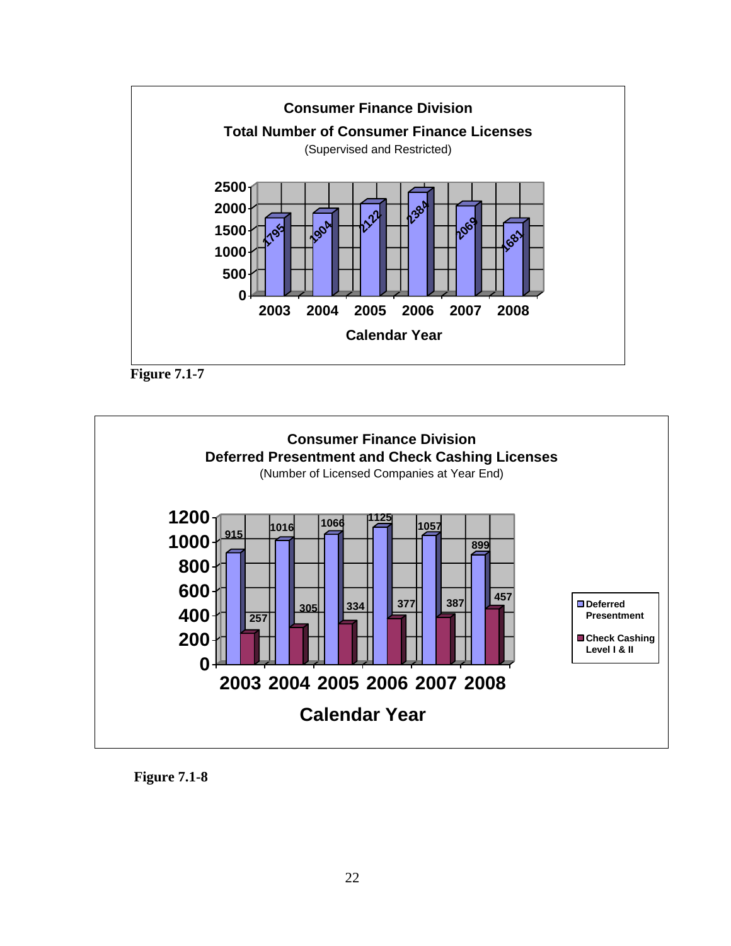





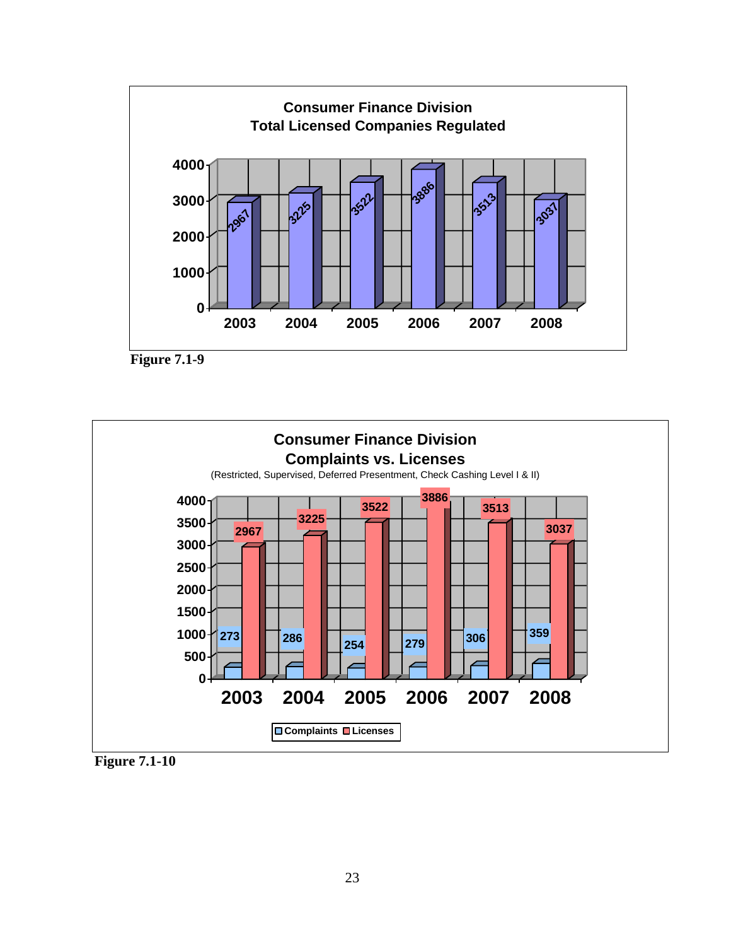





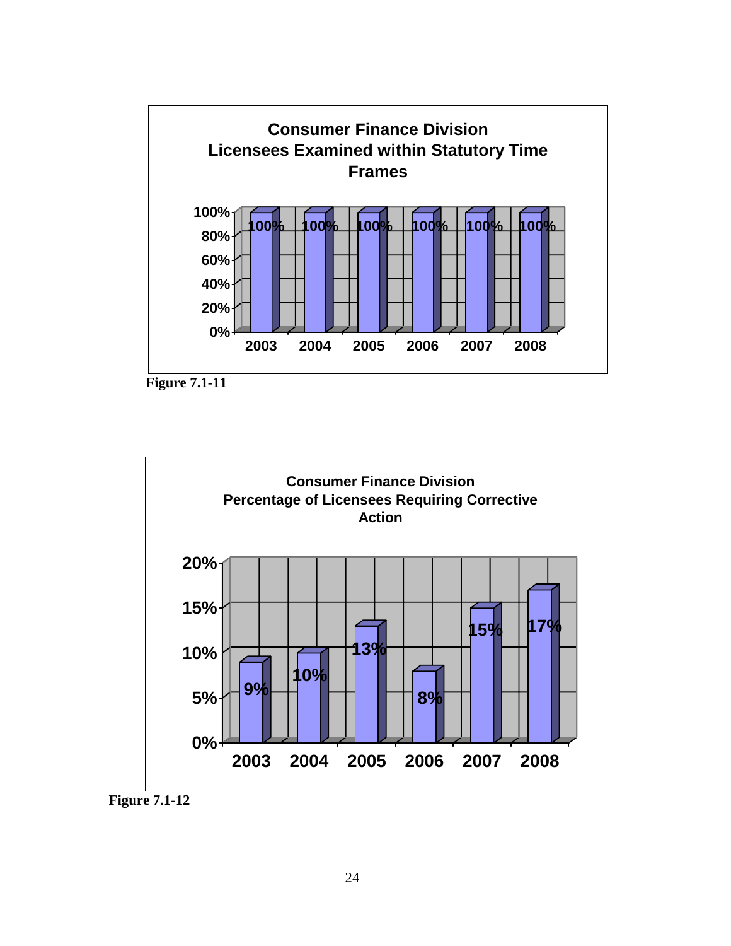





 **Figure 7.1-12**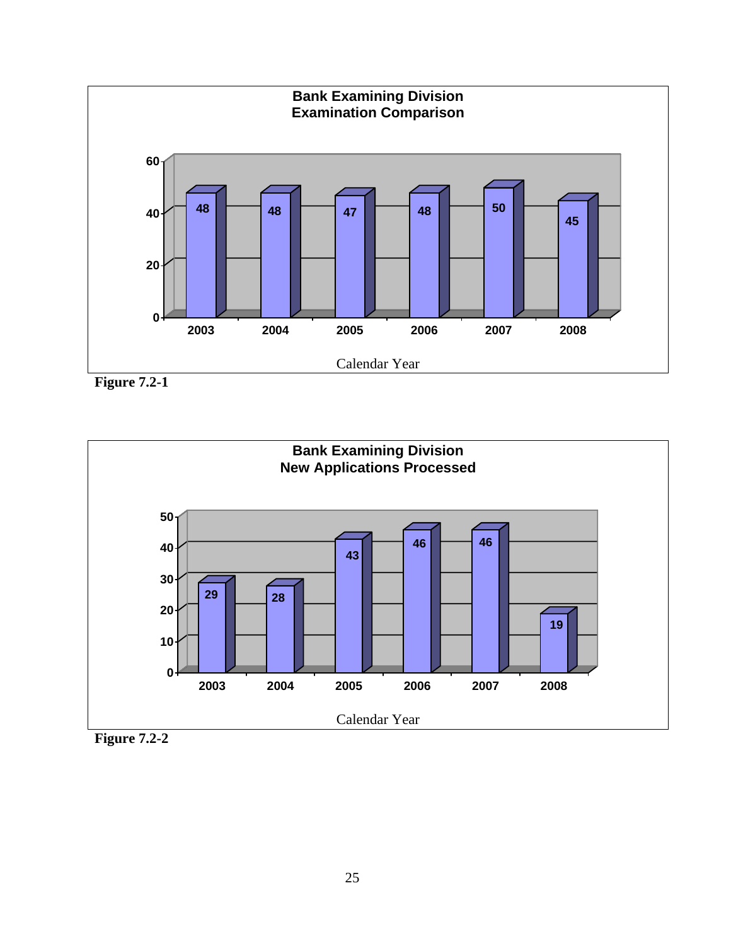

**Figure 7.2-1** 



**Figure 7.2-2**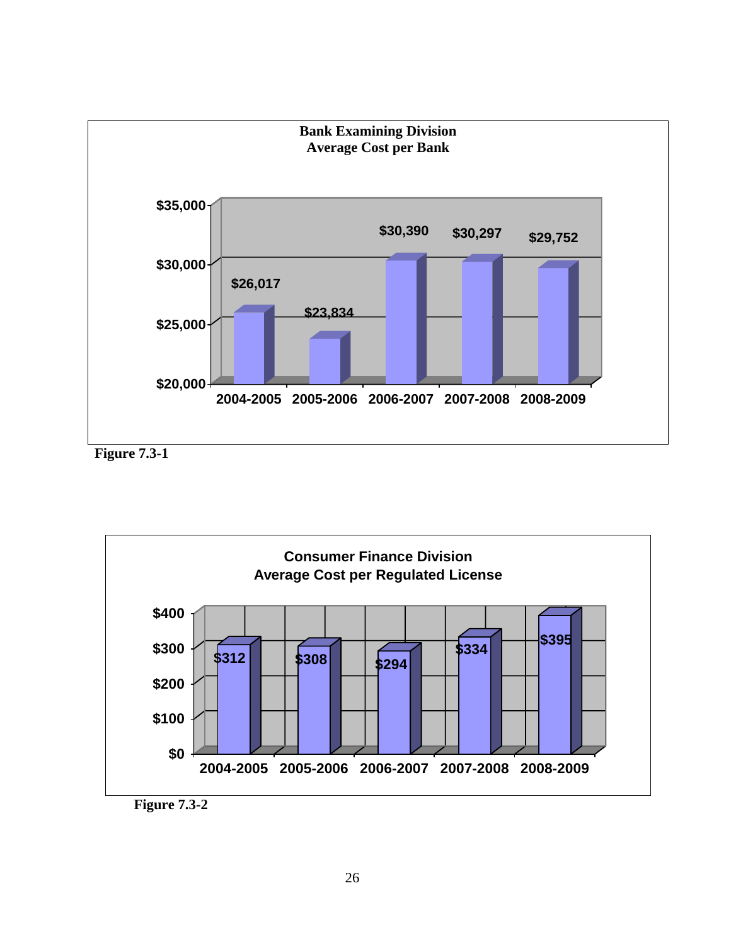

**Figure 7.3-1** 

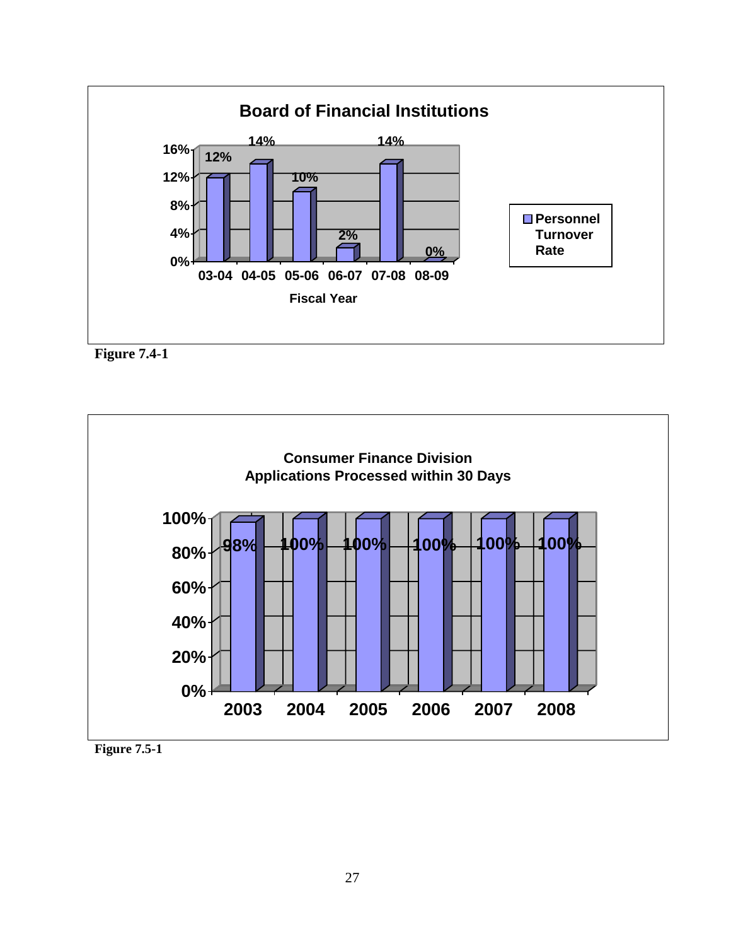





**Figure 7.5-1**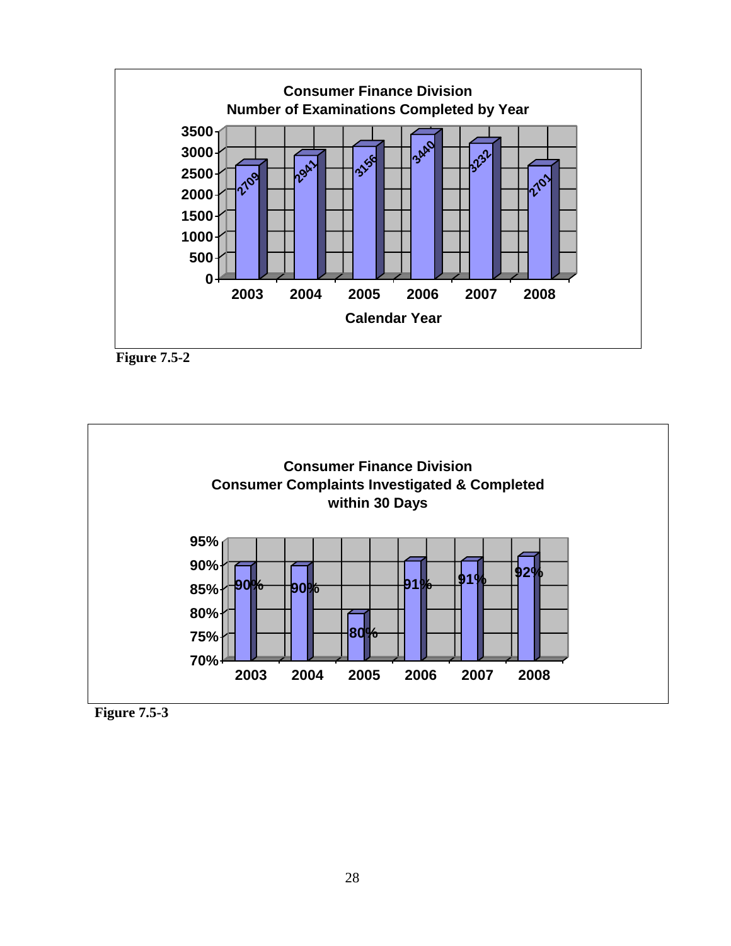





**Figure 7.5-3**